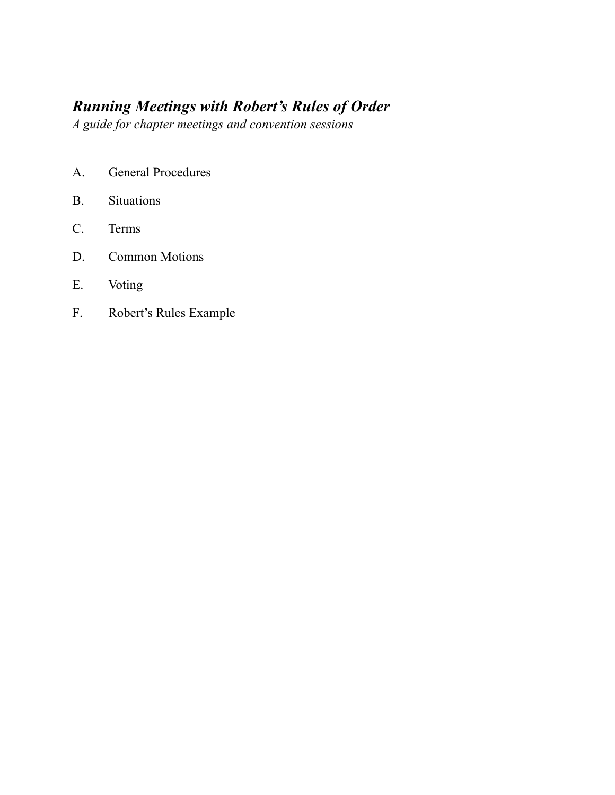# *Running Meetings with Robert's Rules of Order*

*A guide for chapter meetings and convention sessions*

- A. General Procedures
- B. Situations
- C. Terms
- D. Common Motions
- E. Voting
- F. Robert's Rules Example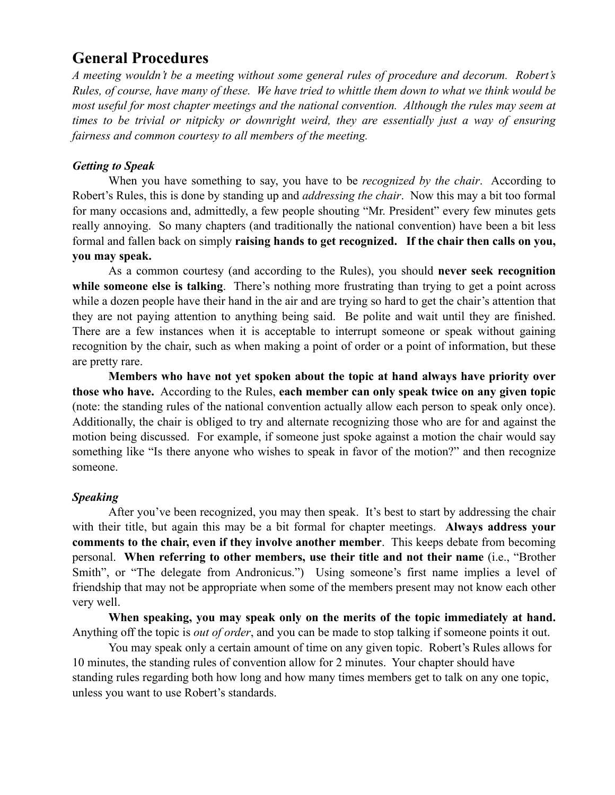# **General Procedures**

*A meeting wouldn't be a meeting without some general rules of procedure and decorum. Robert's*  Rules, of course, have many of these. We have tried to whittle them down to what we think would be *most useful for most chapter meetings and the national convention. Although the rules may seem at times to be trivial or nitpicky or downright weird, they are essentially just a way of ensuring fairness and common courtesy to all members of the meeting.*

### *Getting to Speak*

When you have something to say, you have to be *recognized by the chair*. According to Robert's Rules, this is done by standing up and *addressing the chair*. Now this may a bit too formal for many occasions and, admittedly, a few people shouting "Mr. President" every few minutes gets really annoying. So many chapters (and traditionally the national convention) have been a bit less formal and fallen back on simply **raising hands to get recognized. If the chair then calls on you, you may speak.**

As a common courtesy (and according to the Rules), you should **never seek recognition while someone else is talking**. There's nothing more frustrating than trying to get a point across while a dozen people have their hand in the air and are trying so hard to get the chair's attention that they are not paying attention to anything being said. Be polite and wait until they are finished. There are a few instances when it is acceptable to interrupt someone or speak without gaining recognition by the chair, such as when making a point of order or a point of information, but these are pretty rare.

**Members who have not yet spoken about the topic at hand always have priority over those who have.** According to the Rules, **each member can only speak twice on any given topic** (note: the standing rules of the national convention actually allow each person to speak only once). Additionally, the chair is obliged to try and alternate recognizing those who are for and against the motion being discussed. For example, if someone just spoke against a motion the chair would say something like "Is there anyone who wishes to speak in favor of the motion?" and then recognize someone.

### *Speaking*

After you've been recognized, you may then speak. It's best to start by addressing the chair with their title, but again this may be a bit formal for chapter meetings. **Always address your comments to the chair, even if they involve another member**. This keeps debate from becoming personal. **When referring to other members, use their title and not their name** (i.e., "Brother Smith", or "The delegate from Andronicus.") Using someone's first name implies a level of friendship that may not be appropriate when some of the members present may not know each other very well.

**When speaking, you may speak only on the merits of the topic immediately at hand.**  Anything off the topic is *out of order*, and you can be made to stop talking if someone points it out.

You may speak only a certain amount of time on any given topic. Robert's Rules allows for 10 minutes, the standing rules of convention allow for 2 minutes. Your chapter should have standing rules regarding both how long and how many times members get to talk on any one topic, unless you want to use Robert's standards.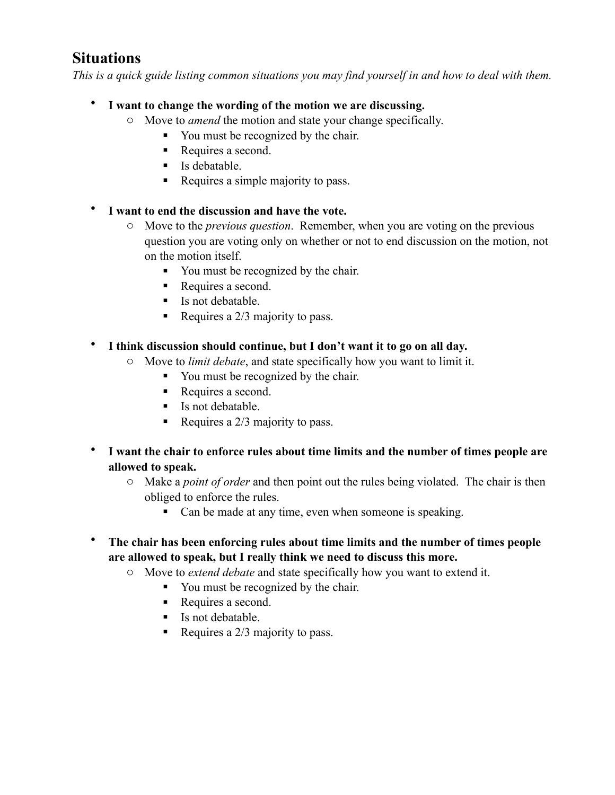# **Situations**

*This is a quick guide listing common situations you may find yourself in and how to deal with them.*

- **I want to change the wording of the motion we are discussing.** 
	- o Move to *amend* the motion and state your change specifically.
		- You must be recognized by the chair.
		- Requires a second.
		- $\blacksquare$  Is debatable.
		- Requires a simple majority to pass.
- **I want to end the discussion and have the vote.**
	- o Move to the *previous question*. Remember, when you are voting on the previous question you are voting only on whether or not to end discussion on the motion, not on the motion itself.
		- You must be recognized by the chair.
		- Requires a second.
		- $\blacksquare$  Is not debatable.
		- Requires a  $2/3$  majority to pass.
- **I think discussion should continue, but I don't want it to go on all day.**
	- o Move to *limit debate*, and state specifically how you want to limit it.
		- You must be recognized by the chair.
		- Requires a second.
		- $\blacksquare$  Is not debatable.
		- Requires a  $2/3$  majority to pass.
- **I want the chair to enforce rules about time limits and the number of times people are allowed to speak.**
	- o Make a *point of order* and then point out the rules being violated. The chair is then obliged to enforce the rules.
		- Can be made at any time, even when someone is speaking.
- **The chair has been enforcing rules about time limits and the number of times people are allowed to speak, but I really think we need to discuss this more.** 
	- o Move to *extend debate* and state specifically how you want to extend it.
		- You must be recognized by the chair.
		- Requires a second.
		- $\blacksquare$  Is not debatable.
		- Requires a  $2/3$  majority to pass.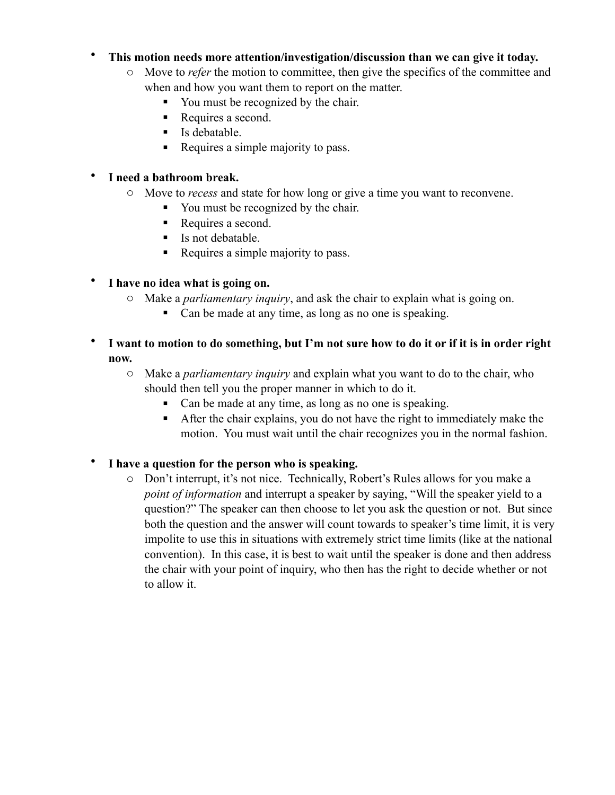### • **This motion needs more attention/investigation/discussion than we can give it today.**

- o Move to *refer* the motion to committee, then give the specifics of the committee and when and how you want them to report on the matter.
	- You must be recognized by the chair.
	- Requires a second.
	- $\blacksquare$  Is debatable.
	- Requires a simple majority to pass.

### • **I need a bathroom break.**

- o Move to *recess* and state for how long or give a time you want to reconvene.
	- You must be recognized by the chair.
	- Requires a second.
	- Is not debatable.
	- Requires a simple majority to pass.

## • **I have no idea what is going on.**

- o Make a *parliamentary inquiry*, and ask the chair to explain what is going on.
	- Can be made at any time, as long as no one is speaking.
- **I want to motion to do something, but I'm not sure how to do it or if it is in order right now.**
	- o Make a *parliamentary inquiry* and explain what you want to do to the chair, who should then tell you the proper manner in which to do it.
		- Can be made at any time, as long as no one is speaking.
		- After the chair explains, you do not have the right to immediately make the motion. You must wait until the chair recognizes you in the normal fashion.

## • **I have a question for the person who is speaking.**

o Don't interrupt, it's not nice. Technically, Robert's Rules allows for you make a *point of information* and interrupt a speaker by saying, "Will the speaker yield to a question?" The speaker can then choose to let you ask the question or not. But since both the question and the answer will count towards to speaker's time limit, it is very impolite to use this in situations with extremely strict time limits (like at the national convention). In this case, it is best to wait until the speaker is done and then address the chair with your point of inquiry, who then has the right to decide whether or not to allow it.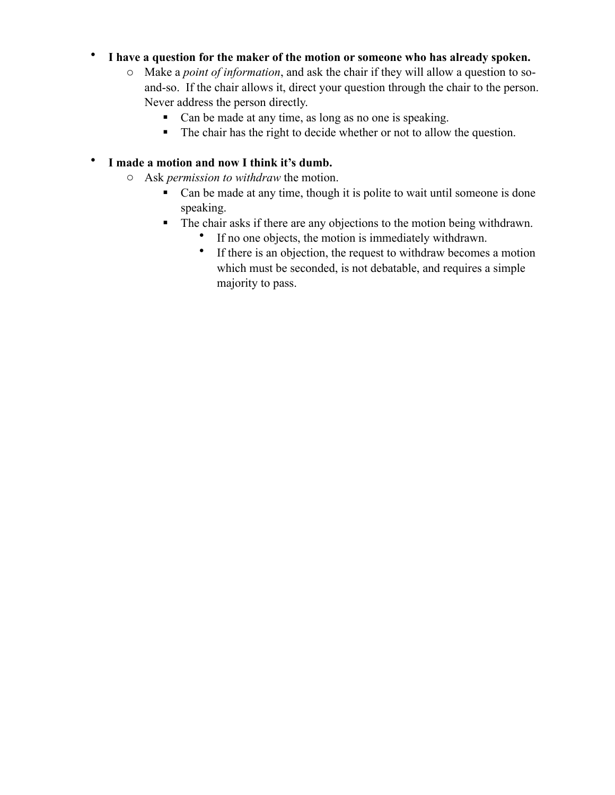### • **I have a question for the maker of the motion or someone who has already spoken.**

- o Make a *point of information*, and ask the chair if they will allow a question to soand-so. If the chair allows it, direct your question through the chair to the person. Never address the person directly.
	- Can be made at any time, as long as no one is speaking.
	- The chair has the right to decide whether or not to allow the question.

### • **I made a motion and now I think it's dumb.**

- o Ask *permission to withdraw* the motion.
	- Can be made at any time, though it is polite to wait until someone is done speaking.
	- The chair asks if there are any objections to the motion being withdrawn.
		- If no one objects, the motion is immediately withdrawn.
		- If there is an objection, the request to withdraw becomes a motion which must be seconded, is not debatable, and requires a simple majority to pass.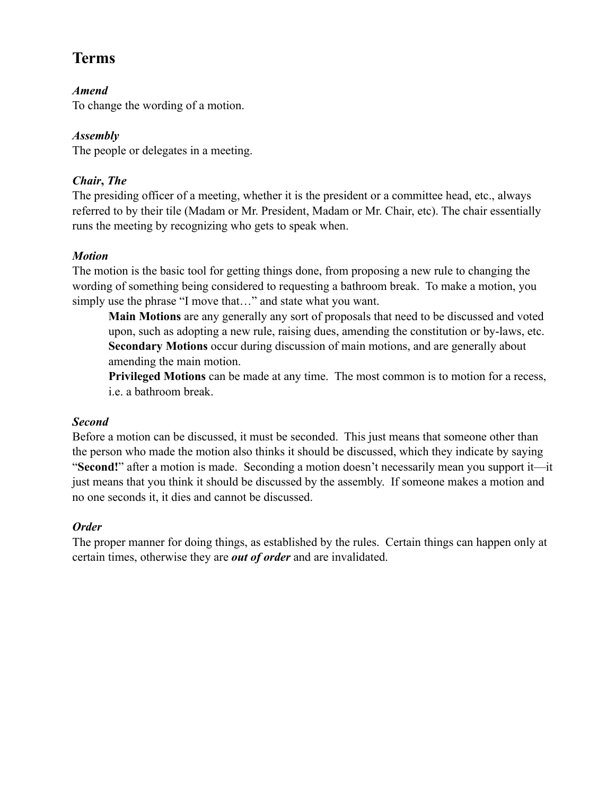# **Terms**

### *Amend*

To change the wording of a motion.

### *Assembly*

The people or delegates in a meeting.

### *Chair***,** *The*

The presiding officer of a meeting, whether it is the president or a committee head, etc., always referred to by their tile (Madam or Mr. President, Madam or Mr. Chair, etc). The chair essentially runs the meeting by recognizing who gets to speak when.

### *Motion*

The motion is the basic tool for getting things done, from proposing a new rule to changing the wording of something being considered to requesting a bathroom break. To make a motion, you simply use the phrase "I move that…" and state what you want.

**Main Motions** are any generally any sort of proposals that need to be discussed and voted upon, such as adopting a new rule, raising dues, amending the constitution or by-laws, etc. **Secondary Motions** occur during discussion of main motions, and are generally about amending the main motion.

**Privileged Motions** can be made at any time. The most common is to motion for a recess, i.e. a bathroom break.

### *Second*

Before a motion can be discussed, it must be seconded. This just means that someone other than the person who made the motion also thinks it should be discussed, which they indicate by saying "**Second!**" after a motion is made. Seconding a motion doesn't necessarily mean you support it—it just means that you think it should be discussed by the assembly. If someone makes a motion and no one seconds it, it dies and cannot be discussed.

## *Order*

The proper manner for doing things, as established by the rules. Certain things can happen only at certain times, otherwise they are *out of order* and are invalidated.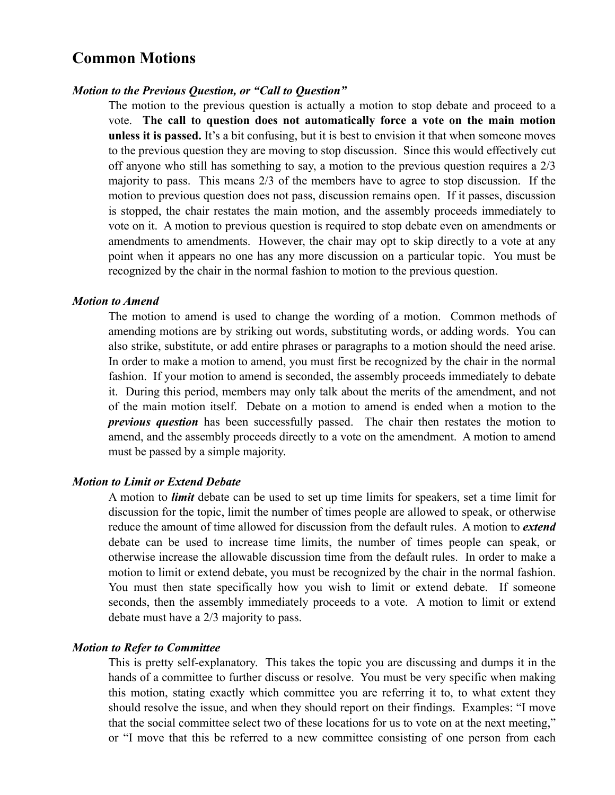# **Common Motions**

#### *Motion to the Previous Question, or "Call to Question"*

The motion to the previous question is actually a motion to stop debate and proceed to a vote. **The call to question does not automatically force a vote on the main motion unless it is passed.** It's a bit confusing, but it is best to envision it that when someone moves to the previous question they are moving to stop discussion. Since this would effectively cut off anyone who still has something to say, a motion to the previous question requires a 2/3 majority to pass. This means 2/3 of the members have to agree to stop discussion. If the motion to previous question does not pass, discussion remains open. If it passes, discussion is stopped, the chair restates the main motion, and the assembly proceeds immediately to vote on it. A motion to previous question is required to stop debate even on amendments or amendments to amendments. However, the chair may opt to skip directly to a vote at any point when it appears no one has any more discussion on a particular topic. You must be recognized by the chair in the normal fashion to motion to the previous question.

#### *Motion to Amend*

The motion to amend is used to change the wording of a motion. Common methods of amending motions are by striking out words, substituting words, or adding words. You can also strike, substitute, or add entire phrases or paragraphs to a motion should the need arise. In order to make a motion to amend, you must first be recognized by the chair in the normal fashion. If your motion to amend is seconded, the assembly proceeds immediately to debate it. During this period, members may only talk about the merits of the amendment, and not of the main motion itself. Debate on a motion to amend is ended when a motion to the *previous question* has been successfully passed. The chair then restates the motion to amend, and the assembly proceeds directly to a vote on the amendment. A motion to amend must be passed by a simple majority.

#### *Motion to Limit or Extend Debate*

A motion to *limit* debate can be used to set up time limits for speakers, set a time limit for discussion for the topic, limit the number of times people are allowed to speak, or otherwise reduce the amount of time allowed for discussion from the default rules. A motion to *extend* debate can be used to increase time limits, the number of times people can speak, or otherwise increase the allowable discussion time from the default rules. In order to make a motion to limit or extend debate, you must be recognized by the chair in the normal fashion. You must then state specifically how you wish to limit or extend debate. If someone seconds, then the assembly immediately proceeds to a vote. A motion to limit or extend debate must have a 2/3 majority to pass.

#### *Motion to Refer to Committee*

This is pretty self-explanatory. This takes the topic you are discussing and dumps it in the hands of a committee to further discuss or resolve. You must be very specific when making this motion, stating exactly which committee you are referring it to, to what extent they should resolve the issue, and when they should report on their findings. Examples: "I move that the social committee select two of these locations for us to vote on at the next meeting," or "I move that this be referred to a new committee consisting of one person from each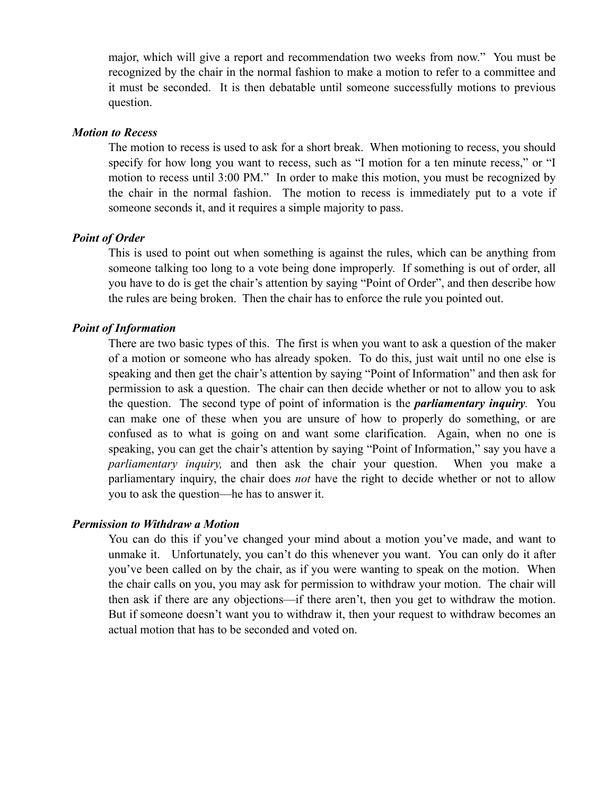major, which will give a report and recommendation two weeks from now." You must be recognized by the chair in the normal fashion to make a motion to refer to a committee and it must be seconded. It is then debatable until someone successfully motions to previous question.

#### *Motion to Recess*

The motion to recess is used to ask for a short break. When motioning to recess, you should specify for how long you want to recess, such as "I motion for a ten minute recess," or "I motion to recess until 3:00 PM." In order to make this motion, you must be recognized by the chair in the normal fashion. The motion to recess is immediately put to a vote if someone seconds it, and it requires a simple majority to pass.

#### *Point of Order*

This is used to point out when something is against the rules, which can be anything from someone talking too long to a vote being done improperly. If something is out of order, all you have to do is get the chair's attention by saying "Point of Order", and then describe how the rules are being broken. Then the chair has to enforce the rule you pointed out.

#### *Point of Information*

There are two basic types of this. The first is when you want to ask a question of the maker of a motion or someone who has already spoken. To do this, just wait until no one else is speaking and then get the chair's attention by saying "Point of Information" and then ask for permission to ask a question. The chair can then decide whether or not to allow you to ask the question. The second type of point of information is the *parliamentary inquiry.* You can make one of these when you are unsure of how to properly do something, or are confused as to what is going on and want some clarification. Again, when no one is speaking, you can get the chair's attention by saying "Point of Information," say you have a *parliamentary inquiry,* and then ask the chair your question. When you make a parliamentary inquiry, the chair does *not* have the right to decide whether or not to allow you to ask the question—he has to answer it.

#### *Permission to Withdraw a Motion*

You can do this if you've changed your mind about a motion you've made, and want to unmake it. Unfortunately, you can't do this whenever you want. You can only do it after you've been called on by the chair, as if you were wanting to speak on the motion. When the chair calls on you, you may ask for permission to withdraw your motion. The chair will then ask if there are any objections—if there aren't, then you get to withdraw the motion. But if someone doesn't want you to withdraw it, then your request to withdraw becomes an actual motion that has to be seconded and voted on.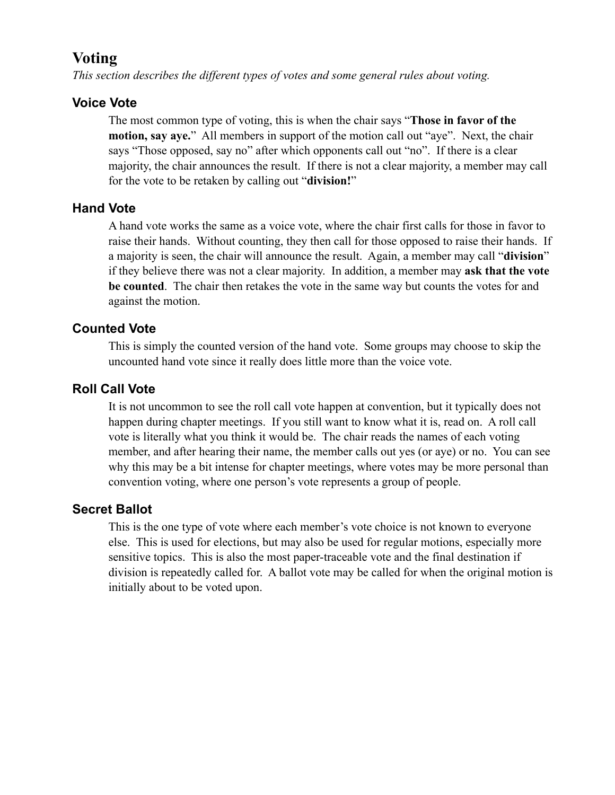# **Voting**

*This section describes the different types of votes and some general rules about voting.*

## **Voice Vote**

The most common type of voting, this is when the chair says "**Those in favor of the motion, say aye.**" All members in support of the motion call out "aye". Next, the chair says "Those opposed, say no" after which opponents call out "no". If there is a clear majority, the chair announces the result. If there is not a clear majority, a member may call for the vote to be retaken by calling out "**division!**"

## **Hand Vote**

A hand vote works the same as a voice vote, where the chair first calls for those in favor to raise their hands. Without counting, they then call for those opposed to raise their hands. If a majority is seen, the chair will announce the result. Again, a member may call "**division**" if they believe there was not a clear majority. In addition, a member may **ask that the vote be counted**. The chair then retakes the vote in the same way but counts the votes for and against the motion.

## **Counted Vote**

This is simply the counted version of the hand vote. Some groups may choose to skip the uncounted hand vote since it really does little more than the voice vote.

## **Roll Call Vote**

It is not uncommon to see the roll call vote happen at convention, but it typically does not happen during chapter meetings. If you still want to know what it is, read on. A roll call vote is literally what you think it would be. The chair reads the names of each voting member, and after hearing their name, the member calls out yes (or aye) or no. You can see why this may be a bit intense for chapter meetings, where votes may be more personal than convention voting, where one person's vote represents a group of people.

## **Secret Ballot**

This is the one type of vote where each member's vote choice is not known to everyone else. This is used for elections, but may also be used for regular motions, especially more sensitive topics. This is also the most paper-traceable vote and the final destination if division is repeatedly called for. A ballot vote may be called for when the original motion is initially about to be voted upon.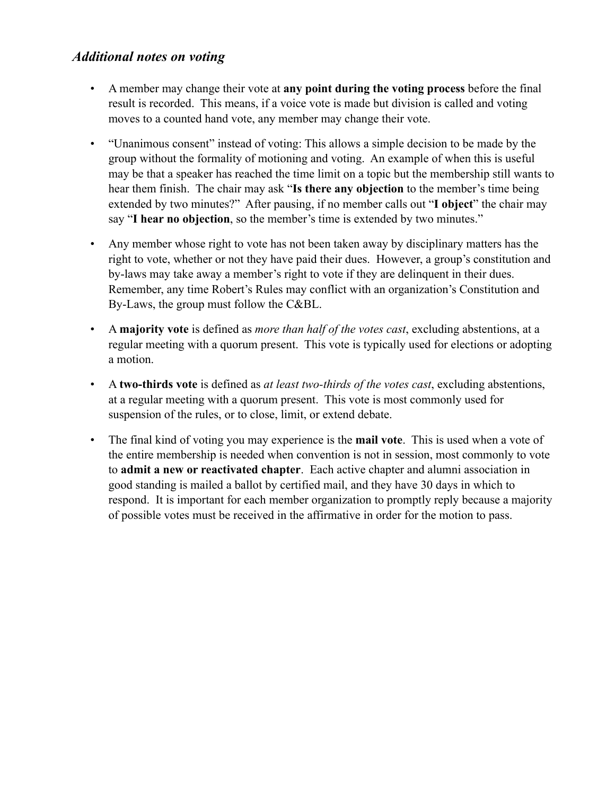### *Additional notes on voting*

- A member may change their vote at **any point during the voting process** before the final result is recorded. This means, if a voice vote is made but division is called and voting moves to a counted hand vote, any member may change their vote.
- "Unanimous consent" instead of voting: This allows a simple decision to be made by the group without the formality of motioning and voting. An example of when this is useful may be that a speaker has reached the time limit on a topic but the membership still wants to hear them finish. The chair may ask "**Is there any objection** to the member's time being extended by two minutes?" After pausing, if no member calls out "**I object**" the chair may say "**I hear no objection**, so the member's time is extended by two minutes."
- Any member whose right to vote has not been taken away by disciplinary matters has the right to vote, whether or not they have paid their dues. However, a group's constitution and by-laws may take away a member's right to vote if they are delinquent in their dues. Remember, any time Robert's Rules may conflict with an organization's Constitution and By-Laws, the group must follow the C&BL.
- A **majority vote** is defined as *more than half of the votes cast*, excluding abstentions, at a regular meeting with a quorum present. This vote is typically used for elections or adopting a motion.
- A **two-thirds vote** is defined as *at least two-thirds of the votes cast*, excluding abstentions, at a regular meeting with a quorum present. This vote is most commonly used for suspension of the rules, or to close, limit, or extend debate.
- The final kind of voting you may experience is the **mail vote**. This is used when a vote of the entire membership is needed when convention is not in session, most commonly to vote to **admit a new or reactivated chapter**. Each active chapter and alumni association in good standing is mailed a ballot by certified mail, and they have 30 days in which to respond. It is important for each member organization to promptly reply because a majority of possible votes must be received in the affirmative in order for the motion to pass.